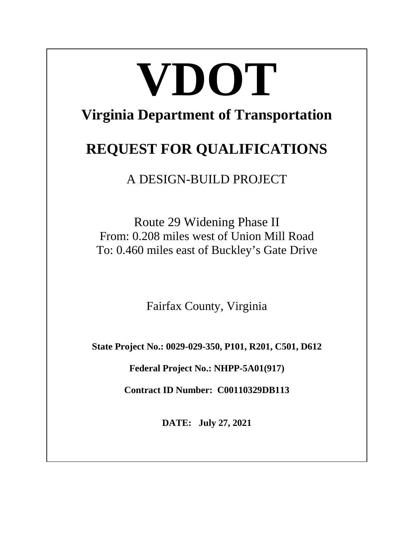# **VDOT**

# **Virginia Department of Transportation**

# **REQUEST FOR QUALIFICATIONS**

A DESIGN-BUILD PROJECT

Route 29 Widening Phase II From: 0.208 miles west of Union Mill Road To: 0.460 miles east of Buckley's Gate Drive

Fairfax County, Virginia

**State Project No.: 0029-029-350, P101, R201, C501, D612**

**Federal Project No.: NHPP-5A01(917)**

**Contract ID Number: C00110329DB113**

**DATE: July 27, 2021**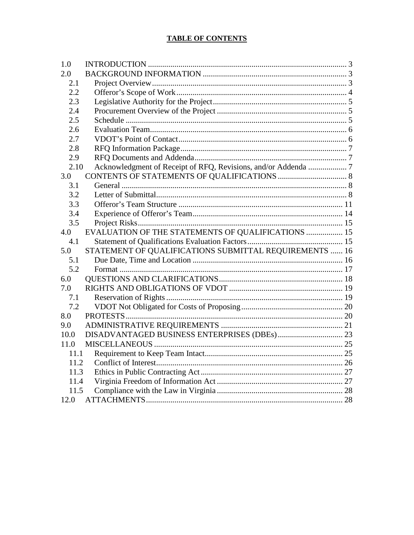# **TABLE OF CONTENTS**

| 1.0  |                                                        |  |
|------|--------------------------------------------------------|--|
| 2.0  |                                                        |  |
| 2.1  |                                                        |  |
| 2.2  |                                                        |  |
| 2.3  |                                                        |  |
| 2.4  |                                                        |  |
| 2.5  |                                                        |  |
| 2.6  |                                                        |  |
| 2.7  |                                                        |  |
| 2.8  |                                                        |  |
| 2.9  |                                                        |  |
| 2.10 |                                                        |  |
| 3.0  |                                                        |  |
| 3.1  |                                                        |  |
| 3.2  |                                                        |  |
| 3.3  |                                                        |  |
| 3.4  |                                                        |  |
| 3.5  |                                                        |  |
| 4.0  | EVALUATION OF THE STATEMENTS OF QUALIFICATIONS  15     |  |
| 4.1  |                                                        |  |
| 5.0  | STATEMENT OF QUALIFICATIONS SUBMITTAL REQUIREMENTS  16 |  |
| 5.1  |                                                        |  |
| 5.2  |                                                        |  |
| 6.0  |                                                        |  |
| 7.0  |                                                        |  |
| 7.1  |                                                        |  |
| 7.2  |                                                        |  |
| 8.0  |                                                        |  |
| 9.0  |                                                        |  |
| 10.0 |                                                        |  |
| 11.0 |                                                        |  |
| 11.1 |                                                        |  |
| 11.2 |                                                        |  |
| 11.3 |                                                        |  |
| 11.4 |                                                        |  |
| 11.5 |                                                        |  |
| 12.0 |                                                        |  |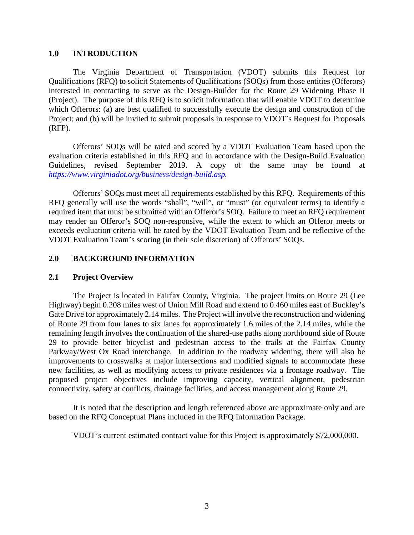#### <span id="page-2-0"></span>**1.0 INTRODUCTION**

The Virginia Department of Transportation (VDOT) submits this Request for Qualifications (RFQ) to solicit Statements of Qualifications (SOQs) from those entities (Offerors) interested in contracting to serve as the Design-Builder for the Route 29 Widening Phase II (Project). The purpose of this RFQ is to solicit information that will enable VDOT to determine which Offerors: (a) are best qualified to successfully execute the design and construction of the Project; and (b) will be invited to submit proposals in response to VDOT's Request for Proposals (RFP).

Offerors' SOQs will be rated and scored by a VDOT Evaluation Team based upon the evaluation criteria established in this RFQ and in accordance with the Design-Build Evaluation Guidelines, revised September 2019. A copy of the same may be found at *[https://www.virginiadot.org/business/design-build.asp.](https://www.virginiadot.org/business/design-build.asp)*

Offerors' SOQs must meet all requirements established by this RFQ. Requirements of this RFQ generally will use the words "shall", "will", or "must" (or equivalent terms) to identify a required item that must be submitted with an Offeror's SOQ. Failure to meet an RFQ requirement may render an Offeror's SOQ non-responsive, while the extent to which an Offeror meets or exceeds evaluation criteria will be rated by the VDOT Evaluation Team and be reflective of the VDOT Evaluation Team's scoring (in their sole discretion) of Offerors' SOQs.

#### <span id="page-2-1"></span>**2.0 BACKGROUND INFORMATION**

#### <span id="page-2-2"></span>**2.1 Project Overview**

The Project is located in Fairfax County, Virginia. The project limits on Route 29 (Lee Highway) begin 0.208 miles west of Union Mill Road and extend to 0.460 miles east of Buckley's Gate Drive for approximately 2.14 miles. The Project will involve the reconstruction and widening of Route 29 from four lanes to six lanes for approximately 1.6 miles of the 2.14 miles, while the remaining length involves the continuation of the shared-use paths along northbound side of Route 29 to provide better bicyclist and pedestrian access to the trails at the Fairfax County Parkway/West Ox Road interchange. In addition to the roadway widening, there will also be improvements to crosswalks at major intersections and modified signals to accommodate these new facilities, as well as modifying access to private residences via a frontage roadway. The proposed project objectives include improving capacity, vertical alignment, pedestrian connectivity, safety at conflicts, drainage facilities, and access management along Route 29.

It is noted that the description and length referenced above are approximate only and are based on the RFQ Conceptual Plans included in the RFQ Information Package.

VDOT's current estimated contract value for this Project is approximately \$72,000,000.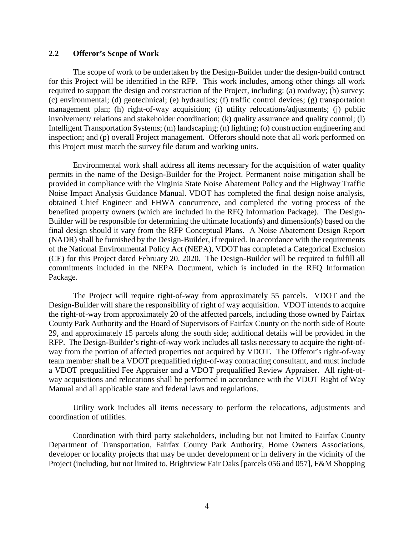#### <span id="page-3-0"></span>**2.2 Offeror's Scope of Work**

The scope of work to be undertaken by the Design-Builder under the design-build contract for this Project will be identified in the RFP. This work includes, among other things all work required to support the design and construction of the Project, including: (a) roadway; (b) survey; (c) environmental; (d) geotechnical; (e) hydraulics; (f) traffic control devices; (g) transportation management plan; (h) right-of-way acquisition; (i) utility relocations/adjustments; (j) public involvement/ relations and stakeholder coordination; (k) quality assurance and quality control; (l) Intelligent Transportation Systems; (m) landscaping; (n) lighting; (o) construction engineering and inspection; and (p) overall Project management. Offerors should note that all work performed on this Project must match the survey file datum and working units.

Environmental work shall address all items necessary for the acquisition of water quality permits in the name of the Design-Builder for the Project. Permanent noise mitigation shall be provided in compliance with the Virginia State Noise Abatement Policy and the Highway Traffic Noise Impact Analysis Guidance Manual. VDOT has completed the final design noise analysis, obtained Chief Engineer and FHWA concurrence, and completed the voting process of the benefited property owners (which are included in the RFQ Information Package). The Design-Builder will be responsible for determining the ultimate location(s) and dimension(s) based on the final design should it vary from the RFP Conceptual Plans. A Noise Abatement Design Report (NADR) shall be furnished by the Design-Builder, if required. In accordance with the requirements of the National Environmental Policy Act (NEPA), VDOT has completed a Categorical Exclusion (CE) for this Project dated February 20, 2020. The Design-Builder will be required to fulfill all commitments included in the NEPA Document, which is included in the RFQ Information Package.

The Project will require right-of-way from approximately 55 parcels. VDOT and the Design-Builder will share the responsibility of right of way acquisition. VDOT intends to acquire the right-of-way from approximately 20 of the affected parcels, including those owned by Fairfax County Park Authority and the Board of Supervisors of Fairfax County on the north side of Route 29, and approximately 15 parcels along the south side; additional details will be provided in the RFP. The Design-Builder's right-of-way work includes all tasks necessary to acquire the right-ofway from the portion of affected properties not acquired by VDOT. The Offeror's right-of-way team member shall be a VDOT prequalified right-of-way contracting consultant, and must include a VDOT prequalified Fee Appraiser and a VDOT prequalified Review Appraiser. All right-ofway acquisitions and relocations shall be performed in accordance with the VDOT Right of Way Manual and all applicable state and federal laws and regulations.

Utility work includes all items necessary to perform the relocations, adjustments and coordination of utilities.

Coordination with third party stakeholders, including but not limited to Fairfax County Department of Transportation, Fairfax County Park Authority, Home Owners Associations, developer or locality projects that may be under development or in delivery in the vicinity of the Project (including, but not limited to, Brightview Fair Oaks [parcels 056 and 057], F&M Shopping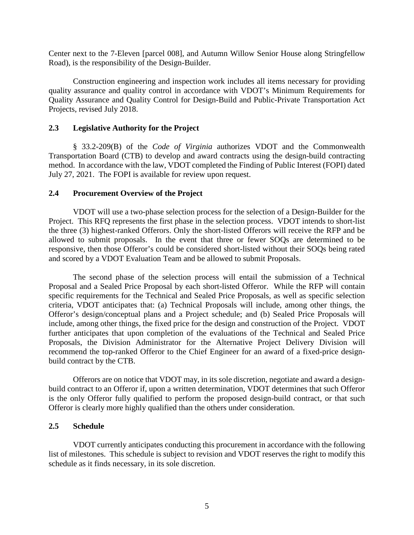Center next to the 7-Eleven [parcel 008], and Autumn Willow Senior House along Stringfellow Road), is the responsibility of the Design-Builder.

Construction engineering and inspection work includes all items necessary for providing quality assurance and quality control in accordance with VDOT's Minimum Requirements for Quality Assurance and Quality Control for Design-Build and Public-Private Transportation Act Projects, revised July 2018.

#### <span id="page-4-0"></span>**2.3 Legislative Authority for the Project**

§ 33.2-209(B) of the *Code of Virginia* authorizes VDOT and the Commonwealth Transportation Board (CTB) to develop and award contracts using the design-build contracting method. In accordance with the law, VDOT completed the Finding of Public Interest (FOPI) dated July 27, 2021. The FOPI is available for review upon request.

#### <span id="page-4-1"></span>**2.4 Procurement Overview of the Project**

VDOT will use a two-phase selection process for the selection of a Design-Builder for the Project. This RFQ represents the first phase in the selection process. VDOT intends to short-list the three (3) highest-ranked Offerors. Only the short-listed Offerors will receive the RFP and be allowed to submit proposals. In the event that three or fewer SOQs are determined to be responsive, then those Offeror's could be considered short-listed without their SOQs being rated and scored by a VDOT Evaluation Team and be allowed to submit Proposals.

The second phase of the selection process will entail the submission of a Technical Proposal and a Sealed Price Proposal by each short-listed Offeror. While the RFP will contain specific requirements for the Technical and Sealed Price Proposals, as well as specific selection criteria, VDOT anticipates that: (a) Technical Proposals will include, among other things, the Offeror's design/conceptual plans and a Project schedule; and (b) Sealed Price Proposals will include, among other things, the fixed price for the design and construction of the Project. VDOT further anticipates that upon completion of the evaluations of the Technical and Sealed Price Proposals, the Division Administrator for the Alternative Project Delivery Division will recommend the top-ranked Offeror to the Chief Engineer for an award of a fixed-price designbuild contract by the CTB.

Offerors are on notice that VDOT may, in its sole discretion, negotiate and award a designbuild contract to an Offeror if, upon a written determination, VDOT determines that such Offeror is the only Offeror fully qualified to perform the proposed design-build contract, or that such Offeror is clearly more highly qualified than the others under consideration.

#### <span id="page-4-2"></span>**2.5 Schedule**

VDOT currently anticipates conducting this procurement in accordance with the following list of milestones. This schedule is subject to revision and VDOT reserves the right to modify this schedule as it finds necessary, in its sole discretion.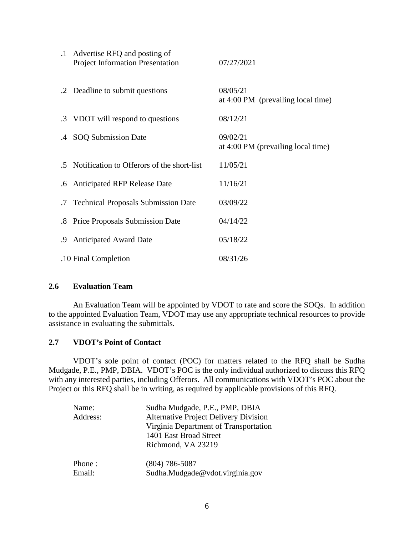|    | .1 Advertise RFQ and posting of<br><b>Project Information Presentation</b> | 07/27/2021                                     |
|----|----------------------------------------------------------------------------|------------------------------------------------|
|    | .2 Deadline to submit questions                                            | 08/05/21<br>at 4:00 PM (prevailing local time) |
|    | .3 VDOT will respond to questions                                          | 08/12/21                                       |
|    | .4 SOQ Submission Date                                                     | 09/02/21<br>at 4:00 PM (prevailing local time) |
|    | .5 Notification to Offerors of the short-list                              | 11/05/21                                       |
|    | .6 Anticipated RFP Release Date                                            | 11/16/21                                       |
|    | .7 Technical Proposals Submission Date                                     | 03/09/22                                       |
|    | .8 Price Proposals Submission Date                                         | 04/14/22                                       |
| .9 | <b>Anticipated Award Date</b>                                              | 05/18/22                                       |
|    | .10 Final Completion                                                       | 08/31/26                                       |

# <span id="page-5-0"></span>**2.6 Evaluation Team**

An Evaluation Team will be appointed by VDOT to rate and score the SOQs. In addition to the appointed Evaluation Team, VDOT may use any appropriate technical resources to provide assistance in evaluating the submittals.

#### <span id="page-5-1"></span>**2.7 VDOT's Point of Contact**

VDOT's sole point of contact (POC) for matters related to the RFQ shall be Sudha Mudgade, P.E., PMP, DBIA. VDOT's POC is the only individual authorized to discuss this RFQ with any interested parties, including Offerors. All communications with VDOT's POC about the Project or this RFQ shall be in writing, as required by applicable provisions of this RFQ.

| Name:<br>Address: | Sudha Mudgade, P.E., PMP, DBIA<br><b>Alternative Project Delivery Division</b><br>Virginia Department of Transportation<br>1401 East Broad Street<br>Richmond, VA 23219 |
|-------------------|-------------------------------------------------------------------------------------------------------------------------------------------------------------------------|
| Phone:            | $(804)$ 786-5087                                                                                                                                                        |
| Email:            | Sudha.Mudgade@vdot.virginia.gov                                                                                                                                         |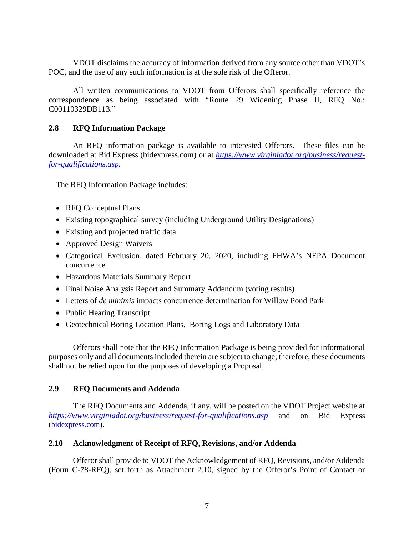VDOT disclaims the accuracy of information derived from any source other than VDOT's POC, and the use of any such information is at the sole risk of the Offeror.

All written communications to VDOT from Offerors shall specifically reference the correspondence as being associated with "Route 29 Widening Phase II, RFQ No.: C00110329DB113."

#### <span id="page-6-0"></span>**2.8 RFQ Information Package**

An RFQ information package is available to interested Offerors. These files can be downloaded at Bid Express (bidexpress.com) or at *[https://www.virginiadot.org/business/request](https://www.virginiadot.org/business/request-for-qualifications.asp)[for-qualifications.asp.](https://www.virginiadot.org/business/request-for-qualifications.asp)*

The RFQ Information Package includes:

- RFQ Conceptual Plans
- Existing topographical survey (including Underground Utility Designations)
- Existing and projected traffic data
- Approved Design Waivers
- Categorical Exclusion, dated February 20, 2020, including FHWA's NEPA Document concurrence
- Hazardous Materials Summary Report
- Final Noise Analysis Report and Summary Addendum (voting results)
- Letters of *de minimis* impacts concurrence determination for Willow Pond Park
- Public Hearing Transcript
- Geotechnical Boring Location Plans, Boring Logs and Laboratory Data

Offerors shall note that the RFQ Information Package is being provided for informational purposes only and all documents included therein are subject to change; therefore, these documents shall not be relied upon for the purposes of developing a Proposal.

# <span id="page-6-1"></span>**2.9 RFQ Documents and Addenda**

 The RFQ Documents and Addenda, if any, will be posted on the VDOT Project website at *<https://www.virginiadot.org/business/request-for-qualifications.asp>* and on Bid Express (bidexpress.com).

# <span id="page-6-2"></span>**2.10 Acknowledgment of Receipt of RFQ, Revisions, and/or Addenda**

Offeror shall provide to VDOT the Acknowledgement of RFQ, Revisions, and/or Addenda (Form C-78-RFQ), set forth as Attachment 2.10, signed by the Offeror's Point of Contact or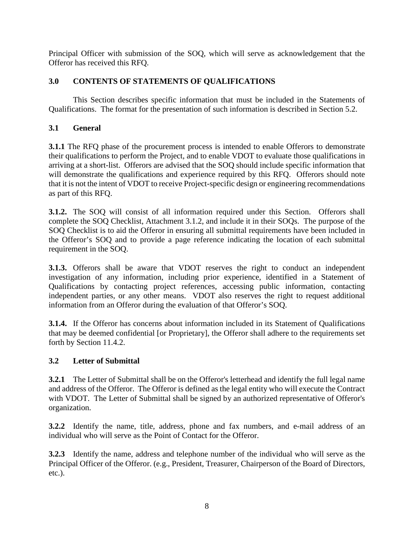Principal Officer with submission of the SOQ, which will serve as acknowledgement that the Offeror has received this RFQ.

# <span id="page-7-0"></span>**3.0 CONTENTS OF STATEMENTS OF QUALIFICATIONS**

This Section describes specific information that must be included in the Statements of Qualifications. The format for the presentation of such information is described in Section 5.2.

# <span id="page-7-1"></span>**3.1 General**

**3.1.1** The RFQ phase of the procurement process is intended to enable Offerors to demonstrate their qualifications to perform the Project, and to enable VDOT to evaluate those qualifications in arriving at a short-list. Offerors are advised that the SOQ should include specific information that will demonstrate the qualifications and experience required by this RFQ. Offerors should note that it is not the intent of VDOT to receive Project-specific design or engineering recommendations as part of this RFQ.

**3.1.2.** The SOQ will consist of all information required under this Section. Offerors shall complete the SOQ Checklist, Attachment 3.1.2, and include it in their SOQs. The purpose of the SOQ Checklist is to aid the Offeror in ensuring all submittal requirements have been included in the Offeror's SOQ and to provide a page reference indicating the location of each submittal requirement in the SOQ.

**3.1.3.** Offerors shall be aware that VDOT reserves the right to conduct an independent investigation of any information, including prior experience, identified in a Statement of Qualifications by contacting project references, accessing public information, contacting independent parties, or any other means. VDOT also reserves the right to request additional information from an Offeror during the evaluation of that Offeror's SOQ.

**3.1.4.** If the Offeror has concerns about information included in its Statement of Qualifications that may be deemed confidential [or Proprietary], the Offeror shall adhere to the requirements set forth by Section 11.4.2.

# <span id="page-7-2"></span>**3.2 Letter of Submittal**

**3.2.1** The Letter of Submittal shall be on the Offeror's letterhead and identify the full legal name and address of the Offeror. The Offeror is defined as the legal entity who will execute the Contract with VDOT. The Letter of Submittal shall be signed by an authorized representative of Offeror's organization.

**3.2.2** Identify the name, title, address, phone and fax numbers, and e-mail address of an individual who will serve as the Point of Contact for the Offeror.

**3.2.3** Identify the name, address and telephone number of the individual who will serve as the Principal Officer of the Offeror. (e.g., President, Treasurer, Chairperson of the Board of Directors, etc.).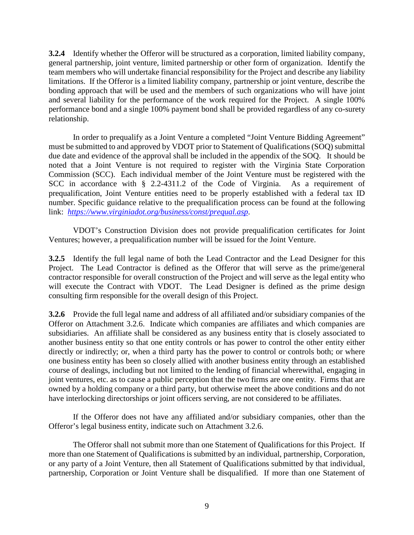**3.2.4** Identify whether the Offeror will be structured as a corporation, limited liability company, general partnership, joint venture, limited partnership or other form of organization. Identify the team members who will undertake financial responsibility for the Project and describe any liability limitations. If the Offeror is a limited liability company, partnership or joint venture, describe the bonding approach that will be used and the members of such organizations who will have joint and several liability for the performance of the work required for the Project. A single 100% performance bond and a single 100% payment bond shall be provided regardless of any co-surety relationship.

In order to prequalify as a Joint Venture a completed "Joint Venture Bidding Agreement" must be submitted to and approved by VDOT prior to Statement of Qualifications (SOQ) submittal due date and evidence of the approval shall be included in the appendix of the SOQ. It should be noted that a Joint Venture is not required to register with the Virginia State Corporation Commission (SCC). Each individual member of the Joint Venture must be registered with the SCC in accordance with § 2.2-4311.2 of the Code of Virginia. As a requirement of prequalification, Joint Venture entities need to be properly established with a federal tax ID number. Specific guidance relative to the prequalification process can be found at the following link: *<https://www.virginiadot.org/business/const/prequal.asp>*.

VDOT's Construction Division does not provide prequalification certificates for Joint Ventures; however, a prequalification number will be issued for the Joint Venture.

**3.2.5** Identify the full legal name of both the Lead Contractor and the Lead Designer for this Project. The Lead Contractor is defined as the Offeror that will serve as the prime/general contractor responsible for overall construction of the Project and will serve as the legal entity who will execute the Contract with VDOT. The Lead Designer is defined as the prime design consulting firm responsible for the overall design of this Project.

**3.2.6** Provide the full legal name and address of all affiliated and/or subsidiary companies of the Offeror on Attachment 3.2.6. Indicate which companies are affiliates and which companies are subsidiaries. An affiliate shall be considered as any business entity that is closely associated to another business entity so that one entity controls or has power to control the other entity either directly or indirectly; or, when a third party has the power to control or controls both; or where one business entity has been so closely allied with another business entity through an established course of dealings, including but not limited to the lending of financial wherewithal, engaging in joint ventures, etc. as to cause a public perception that the two firms are one entity. Firms that are owned by a holding company or a third party, but otherwise meet the above conditions and do not have interlocking directorships or joint officers serving, are not considered to be affiliates.

If the Offeror does not have any affiliated and/or subsidiary companies, other than the Offeror's legal business entity, indicate such on Attachment 3.2.6.

The Offeror shall not submit more than one Statement of Qualifications for this Project. If more than one Statement of Qualifications is submitted by an individual, partnership, Corporation, or any party of a Joint Venture, then all Statement of Qualifications submitted by that individual, partnership, Corporation or Joint Venture shall be disqualified. If more than one Statement of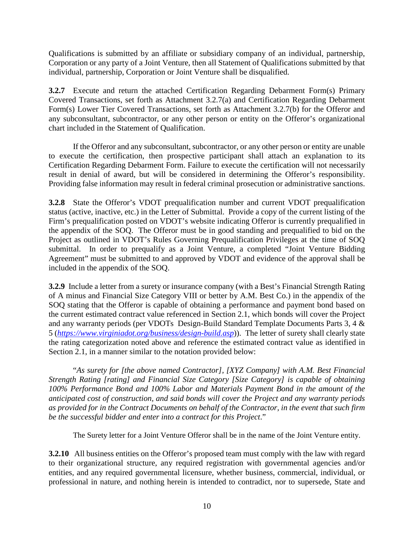Qualifications is submitted by an affiliate or subsidiary company of an individual, partnership, Corporation or any party of a Joint Venture, then all Statement of Qualifications submitted by that individual, partnership, Corporation or Joint Venture shall be disqualified.

**3.2.7** Execute and return the attached Certification Regarding Debarment Form(s) Primary Covered Transactions, set forth as Attachment 3.2.7(a) and Certification Regarding Debarment Form(s) Lower Tier Covered Transactions, set forth as Attachment 3.2.7(b) for the Offeror and any subconsultant, subcontractor, or any other person or entity on the Offeror's organizational chart included in the Statement of Qualification.

If the Offeror and any subconsultant, subcontractor, or any other person or entity are unable to execute the certification, then prospective participant shall attach an explanation to its Certification Regarding Debarment Form. Failure to execute the certification will not necessarily result in denial of award, but will be considered in determining the Offeror's responsibility. Providing false information may result in federal criminal prosecution or administrative sanctions.

**3.2.8** State the Offeror's VDOT prequalification number and current VDOT prequalification status (active, inactive, etc.) in the Letter of Submittal. Provide a copy of the current listing of the Firm's prequalification posted on VDOT's website indicating Offeror is currently prequalified in the appendix of the SOQ. The Offeror must be in good standing and prequalified to bid on the Project as outlined in VDOT's Rules Governing Prequalification Privileges at the time of SOQ submittal. In order to prequalify as a Joint Venture, a completed "Joint Venture Bidding Agreement" must be submitted to and approved by VDOT and evidence of the approval shall be included in the appendix of the SOQ.

**3.2.9** Include a letter from a surety or insurance company (with a Best's Financial Strength Rating of A minus and Financial Size Category VIII or better by A.M. Best Co.) in the appendix of the SOQ stating that the Offeror is capable of obtaining a performance and payment bond based on the current estimated contract value referenced in Section 2.1, which bonds will cover the Project and any warranty periods (per VDOTs Design-Build Standard Template Documents Parts 3, 4 & 5 (*<https://www.virginiadot.org/business/design-build.asp>*)). The letter of surety shall clearly state the rating categorization noted above and reference the estimated contract value as identified in Section 2.1, in a manner similar to the notation provided below:

"*As surety for [the above named Contractor], [XYZ Company] with A.M. Best Financial Strength Rating [rating] and Financial Size Category [Size Category] is capable of obtaining 100% Performance Bond and 100% Labor and Materials Payment Bond in the amount of the anticipated cost of construction, and said bonds will cover the Project and any warranty periods as provided for in the Contract Documents on behalf of the Contractor, in the event that such firm be the successful bidder and enter into a contract for this Project*."

The Surety letter for a Joint Venture Offeror shall be in the name of the Joint Venture entity.

**3.2.10** All business entities on the Offeror's proposed team must comply with the law with regard to their organizational structure, any required registration with governmental agencies and/or entities, and any required governmental licensure, whether business, commercial, individual, or professional in nature, and nothing herein is intended to contradict, nor to supersede, State and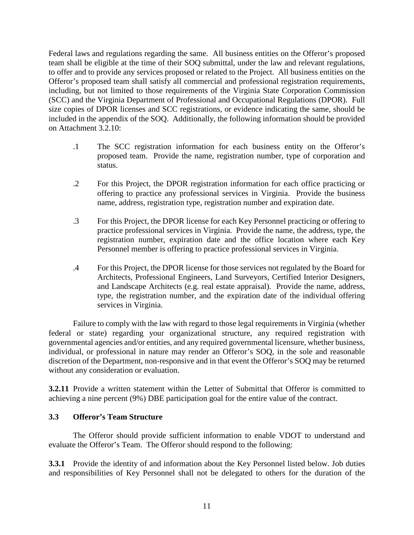Federal laws and regulations regarding the same. All business entities on the Offeror's proposed team shall be eligible at the time of their SOQ submittal, under the law and relevant regulations, to offer and to provide any services proposed or related to the Project. All business entities on the Offeror's proposed team shall satisfy all commercial and professional registration requirements, including, but not limited to those requirements of the Virginia State Corporation Commission (SCC) and the Virginia Department of Professional and Occupational Regulations (DPOR). Full size copies of DPOR licenses and SCC registrations, or evidence indicating the same, should be included in the appendix of the SOQ. Additionally, the following information should be provided on Attachment 3.2.10:

- .1 The SCC registration information for each business entity on the Offeror's proposed team. Provide the name, registration number, type of corporation and status.
- .2 For this Project, the DPOR registration information for each office practicing or offering to practice any professional services in Virginia. Provide the business name, address, registration type, registration number and expiration date.
- .3 For this Project, the DPOR license for each Key Personnel practicing or offering to practice professional services in Virginia. Provide the name, the address, type, the registration number, expiration date and the office location where each Key Personnel member is offering to practice professional services in Virginia.
- .4 For this Project, the DPOR license for those services not regulated by the Board for Architects, Professional Engineers, Land Surveyors, Certified Interior Designers, and Landscape Architects (e.g. real estate appraisal). Provide the name, address, type, the registration number, and the expiration date of the individual offering services in Virginia.

Failure to comply with the law with regard to those legal requirements in Virginia (whether federal or state) regarding your organizational structure, any required registration with governmental agencies and/or entities, and any required governmental licensure, whether business, individual, or professional in nature may render an Offeror's SOQ, in the sole and reasonable discretion of the Department, non-responsive and in that event the Offeror's SOQ may be returned without any consideration or evaluation.

**3.2.11** Provide a written statement within the Letter of Submittal that Offeror is committed to achieving a nine percent (9%) DBE participation goal for the entire value of the contract.

#### <span id="page-10-0"></span>**3.3 Offeror's Team Structure**

The Offeror should provide sufficient information to enable VDOT to understand and evaluate the Offeror's Team. The Offeror should respond to the following:

**3.3.1** Provide the identity of and information about the Key Personnel listed below. Job duties and responsibilities of Key Personnel shall not be delegated to others for the duration of the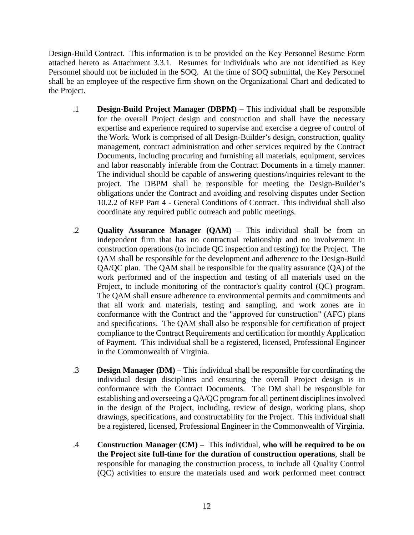Design-Build Contract. This information is to be provided on the Key Personnel Resume Form attached hereto as Attachment 3.3.1. Resumes for individuals who are not identified as Key Personnel should not be included in the SOQ. At the time of SOQ submittal, the Key Personnel shall be an employee of the respective firm shown on the Organizational Chart and dedicated to the Project.

- .1 **Design-Build Project Manager (DBPM)** This individual shall be responsible for the overall Project design and construction and shall have the necessary expertise and experience required to supervise and exercise a degree of control of the Work. Work is comprised of all Design-Builder's design, construction, quality management, contract administration and other services required by the Contract Documents, including procuring and furnishing all materials, equipment, services and labor reasonably inferable from the Contract Documents in a timely manner. The individual should be capable of answering questions/inquiries relevant to the project. The DBPM shall be responsible for meeting the Design-Builder's obligations under the Contract and avoiding and resolving disputes under Section 10.2.2 of RFP Part 4 - General Conditions of Contract. This individual shall also coordinate any required public outreach and public meetings.
- .2 **Quality Assurance Manager (QAM)** This individual shall be from an independent firm that has no contractual relationship and no involvement in construction operations (to include QC inspection and testing) for the Project. The QAM shall be responsible for the development and adherence to the Design-Build QA/QC plan. The QAM shall be responsible for the quality assurance (QA) of the work performed and of the inspection and testing of all materials used on the Project, to include monitoring of the contractor's quality control (QC) program. The QAM shall ensure adherence to environmental permits and commitments and that all work and materials, testing and sampling, and work zones are in conformance with the Contract and the "approved for construction" (AFC) plans and specifications. The QAM shall also be responsible for certification of project compliance to the Contract Requirements and certification for monthly Application of Payment. This individual shall be a registered, licensed, Professional Engineer in the Commonwealth of Virginia.
- .3 **Design Manager (DM)** This individual shall be responsible for coordinating the individual design disciplines and ensuring the overall Project design is in conformance with the Contract Documents. The DM shall be responsible for establishing and overseeing a QA/QC program for all pertinent disciplines involved in the design of the Project, including, review of design, working plans, shop drawings, specifications, and constructability for the Project. This individual shall be a registered, licensed, Professional Engineer in the Commonwealth of Virginia.
- .4 **Construction Manager (CM)** This individual, **who will be required to be on the Project site full-time for the duration of construction operations**, shall be responsible for managing the construction process, to include all Quality Control (QC) activities to ensure the materials used and work performed meet contract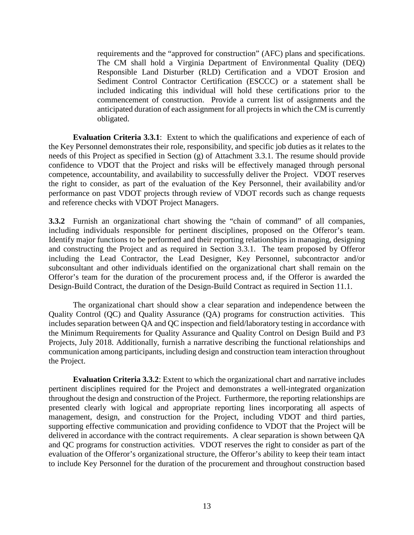requirements and the "approved for construction" (AFC) plans and specifications. The CM shall hold a Virginia Department of Environmental Quality (DEQ) Responsible Land Disturber (RLD) Certification and a VDOT Erosion and Sediment Control Contractor Certification (ESCCC) or a statement shall be included indicating this individual will hold these certifications prior to the commencement of construction. Provide a current list of assignments and the anticipated duration of each assignment for all projects in which the CM is currently obligated.

**Evaluation Criteria 3.3.1**: Extent to which the qualifications and experience of each of the Key Personnel demonstrates their role, responsibility, and specific job duties as it relates to the needs of this Project as specified in Section (g) of Attachment 3.3.1. The resume should provide confidence to VDOT that the Project and risks will be effectively managed through personal competence, accountability, and availability to successfully deliver the Project. VDOT reserves the right to consider, as part of the evaluation of the Key Personnel, their availability and/or performance on past VDOT projects through review of VDOT records such as change requests and reference checks with VDOT Project Managers.

**3.3.2** Furnish an organizational chart showing the "chain of command" of all companies, including individuals responsible for pertinent disciplines, proposed on the Offeror's team. Identify major functions to be performed and their reporting relationships in managing, designing and constructing the Project and as required in Section 3.3.1. The team proposed by Offeror including the Lead Contractor, the Lead Designer, Key Personnel, subcontractor and/or subconsultant and other individuals identified on the organizational chart shall remain on the Offeror's team for the duration of the procurement process and, if the Offeror is awarded the Design-Build Contract, the duration of the Design-Build Contract as required in Section 11.1.

The organizational chart should show a clear separation and independence between the Quality Control (QC) and Quality Assurance (QA) programs for construction activities. This includes separation between QA and QC inspection and field/laboratory testing in accordance with the [Minimum Requirements for Quality Assurance and Quality Control on Design Build and P3](http://www.vdot.virginia.gov/business/resources/PPTA/Minimum_Requirements_for_QA-QC_-_January_2012.pdf)  [Projects, July](http://www.vdot.virginia.gov/business/resources/PPTA/Minimum_Requirements_for_QA-QC_-_January_2012.pdf) 2018. Additionally, furnish a narrative describing the functional relationships and communication among participants, including design and construction team interaction throughout the Project.

**Evaluation Criteria 3.3.2**: Extent to which the organizational chart and narrative includes pertinent disciplines required for the Project and demonstrates a well-integrated organization throughout the design and construction of the Project. Furthermore, the reporting relationships are presented clearly with logical and appropriate reporting lines incorporating all aspects of management, design, and construction for the Project, including VDOT and third parties, supporting effective communication and providing confidence to VDOT that the Project will be delivered in accordance with the contract requirements. A clear separation is shown between QA and QC programs for construction activities. VDOT reserves the right to consider as part of the evaluation of the Offeror's organizational structure, the Offeror's ability to keep their team intact to include Key Personnel for the duration of the procurement and throughout construction based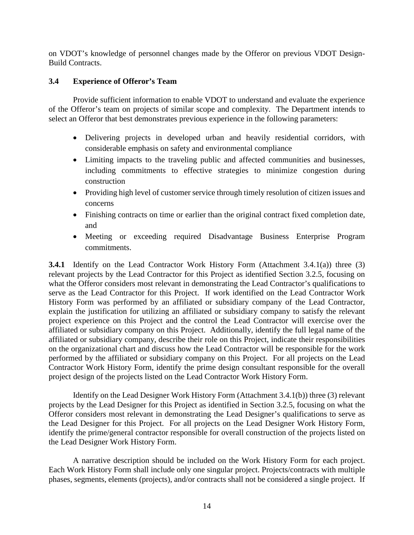on VDOT's knowledge of personnel changes made by the Offeror on previous VDOT Design-Build Contracts.

#### <span id="page-13-0"></span>**3.4 Experience of Offeror's Team**

Provide sufficient information to enable VDOT to understand and evaluate the experience of the Offeror's team on projects of similar scope and complexity. The Department intends to select an Offeror that best demonstrates previous experience in the following parameters:

- Delivering projects in developed urban and heavily residential corridors, with considerable emphasis on safety and environmental compliance
- Limiting impacts to the traveling public and affected communities and businesses, including commitments to effective strategies to minimize congestion during construction
- Providing high level of customer service through timely resolution of citizen issues and concerns
- Finishing contracts on time or earlier than the original contract fixed completion date, and
- Meeting or exceeding required Disadvantage Business Enterprise Program commitments.

**3.4.1** Identify on the Lead Contractor Work History Form (Attachment 3.4.1(a)) three (3) relevant projects by the Lead Contractor for this Project as identified Section 3.2.5, focusing on what the Offeror considers most relevant in demonstrating the Lead Contractor's qualifications to serve as the Lead Contractor for this Project. If work identified on the Lead Contractor Work History Form was performed by an affiliated or subsidiary company of the Lead Contractor, explain the justification for utilizing an affiliated or subsidiary company to satisfy the relevant project experience on this Project and the control the Lead Contractor will exercise over the affiliated or subsidiary company on this Project. Additionally, identify the full legal name of the affiliated or subsidiary company, describe their role on this Project, indicate their responsibilities on the organizational chart and discuss how the Lead Contractor will be responsible for the work performed by the affiliated or subsidiary company on this Project. For all projects on the Lead Contractor Work History Form, identify the prime design consultant responsible for the overall project design of the projects listed on the Lead Contractor Work History Form.

Identify on the Lead Designer Work History Form (Attachment 3.4.1(b)) three (3) relevant projects by the Lead Designer for this Project as identified in Section 3.2.5, focusing on what the Offeror considers most relevant in demonstrating the Lead Designer's qualifications to serve as the Lead Designer for this Project. For all projects on the Lead Designer Work History Form, identify the prime/general contractor responsible for overall construction of the projects listed on the Lead Designer Work History Form.

A narrative description should be included on the Work History Form for each project. Each Work History Form shall include only one singular project. Projects/contracts with multiple phases, segments, elements (projects), and/or contracts shall not be considered a single project. If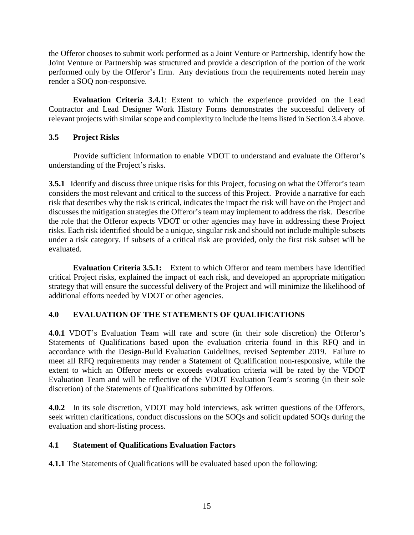the Offeror chooses to submit work performed as a Joint Venture or Partnership, identify how the Joint Venture or Partnership was structured and provide a description of the portion of the work performed only by the Offeror's firm. Any deviations from the requirements noted herein may render a SOQ non-responsive.

**Evaluation Criteria 3.4.1**: Extent to which the experience provided on the Lead Contractor and Lead Designer Work History Forms demonstrates the successful delivery of relevant projects with similar scope and complexity to include the items listed in Section 3.4 above.

# <span id="page-14-0"></span>**3.5 Project Risks**

Provide sufficient information to enable VDOT to understand and evaluate the Offeror's understanding of the Project's risks.

**3.5.1** Identify and discuss three unique risks for this Project, focusing on what the Offeror's team considers the most relevant and critical to the success of this Project. Provide a narrative for each risk that describes why the risk is critical, indicates the impact the risk will have on the Project and discusses the mitigation strategies the Offeror's team may implement to address the risk. Describe the role that the Offeror expects VDOT or other agencies may have in addressing these Project risks. Each risk identified should be a unique, singular risk and should not include multiple subsets under a risk category. If subsets of a critical risk are provided, only the first risk subset will be evaluated.

**Evaluation Criteria 3.5.1:** Extent to which Offeror and team members have identified critical Project risks, explained the impact of each risk, and developed an appropriate mitigation strategy that will ensure the successful delivery of the Project and will minimize the likelihood of additional efforts needed by VDOT or other agencies.

# <span id="page-14-1"></span>**4.0 EVALUATION OF THE STATEMENTS OF QUALIFICATIONS**

**4.0.1** VDOT's Evaluation Team will rate and score (in their sole discretion) the Offeror's Statements of Qualifications based upon the evaluation criteria found in this RFQ and in accordance with the Design-Build Evaluation Guidelines, revised September 2019. Failure to meet all RFQ requirements may render a Statement of Qualification non-responsive, while the extent to which an Offeror meets or exceeds evaluation criteria will be rated by the VDOT Evaluation Team and will be reflective of the VDOT Evaluation Team's scoring (in their sole discretion) of the Statements of Qualifications submitted by Offerors.

**4.0.2** In its sole discretion, VDOT may hold interviews, ask written questions of the Offerors, seek written clarifications, conduct discussions on the SOQs and solicit updated SOQs during the evaluation and short-listing process.

# <span id="page-14-2"></span>**4.1 Statement of Qualifications Evaluation Factors**

**4.1.1** The Statements of Qualifications will be evaluated based upon the following: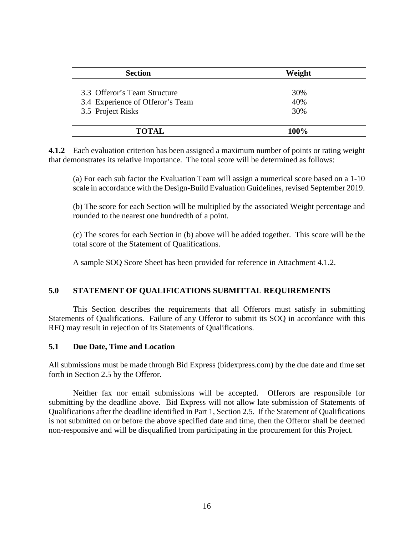| <b>Section</b>                   | Weight |  |
|----------------------------------|--------|--|
| 3.3 Offeror's Team Structure     |        |  |
|                                  | 30%    |  |
| 3.4 Experience of Offeror's Team | 40%    |  |
| 3.5 Project Risks                | 30%    |  |
|                                  |        |  |
| <b>TOTAL</b>                     | 100%   |  |

**4.1.2** Each evaluation criterion has been assigned a maximum number of points or rating weight that demonstrates its relative importance. The total score will be determined as follows:

(a) For each sub factor the Evaluation Team will assign a numerical score based on a 1-10 scale in accordance with the Design-Build Evaluation Guidelines, revised September 2019.

(b) The score for each Section will be multiplied by the associated Weight percentage and rounded to the nearest one hundredth of a point.

(c) The scores for each Section in (b) above will be added together. This score will be the total score of the Statement of Qualifications.

A sample SOQ Score Sheet has been provided for reference in Attachment 4.1.2.

#### <span id="page-15-0"></span>**5.0 STATEMENT OF QUALIFICATIONS SUBMITTAL REQUIREMENTS**

This Section describes the requirements that all Offerors must satisfy in submitting Statements of Qualifications. Failure of any Offeror to submit its SOQ in accordance with this RFQ may result in rejection of its Statements of Qualifications.

#### <span id="page-15-1"></span>**5.1 Due Date, Time and Location**

All submissions must be made through Bid Express (bidexpress.com) by the due date and time set forth in Section 2.5 by the Offeror.

Neither fax nor email submissions will be accepted. Offerors are responsible for submitting by the deadline above. Bid Express will not allow late submission of Statements of Qualifications after the deadline identified in Part 1, Section 2.5. If the Statement of Qualifications is not submitted on or before the above specified date and time, then the Offeror shall be deemed non-responsive and will be disqualified from participating in the procurement for this Project.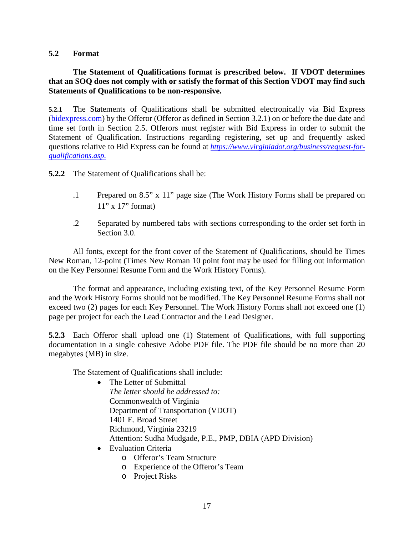#### <span id="page-16-0"></span>**5.2 Format**

#### **The Statement of Qualifications format is prescribed below. If VDOT determines that an SOQ does not comply with or satisfy the format of this Section VDOT may find such Statements of Qualifications to be non-responsive.**

**5.2.1** The Statements of Qualifications shall be submitted electronically via Bid Express (bidexpress.com) by the Offeror (Offeror as defined in Section 3.2.1) on or before the due date and time set forth in Section 2.5. Offerors must register with Bid Express in order to submit the Statement of Qualification. Instructions regarding registering, set up and frequently asked questions relative to Bid Express can be found at *[https://www.virginiadot.org/business/request-for](https://www.virginiadot.org/business/request-for-qualifications.asp)[qualifications.asp.](https://www.virginiadot.org/business/request-for-qualifications.asp)*

**5.2.2** The Statement of Qualifications shall be:

- .1 Prepared on 8.5" x 11" page size (The Work History Forms shall be prepared on  $11$ " x  $17$ " format)
- .2 Separated by numbered tabs with sections corresponding to the order set forth in Section 3.0.

All fonts, except for the front cover of the Statement of Qualifications, should be Times New Roman, 12-point (Times New Roman 10 point font may be used for filling out information on the Key Personnel Resume Form and the Work History Forms).

The format and appearance, including existing text, of the Key Personnel Resume Form and the Work History Forms should not be modified. The Key Personnel Resume Forms shall not exceed two (2) pages for each Key Personnel. The Work History Forms shall not exceed one (1) page per project for each the Lead Contractor and the Lead Designer.

**5.2.3** Each Offeror shall upload one (1) Statement of Qualifications, with full supporting documentation in a single cohesive Adobe PDF file. The PDF file should be no more than 20 megabytes (MB) in size.

The Statement of Qualifications shall include:

- The Letter of Submittal *The letter should be addressed to:*  Commonwealth of Virginia Department of Transportation (VDOT) 1401 E. Broad Street Richmond, Virginia 23219 Attention: Sudha Mudgade, P.E., PMP, DBIA (APD Division)
- Evaluation Criteria
	- o Offeror's Team Structure
	- o Experience of the Offeror's Team
	- o Project Risks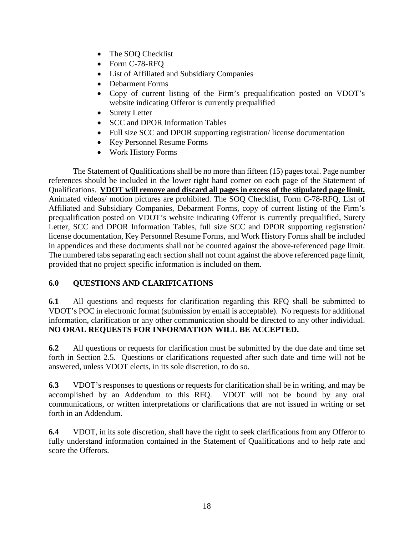- The SOQ Checklist
- Form C-78-RFQ
- List of Affiliated and Subsidiary Companies
- Debarment Forms
- Copy of current listing of the Firm's prequalification posted on VDOT's website indicating Offeror is currently prequalified
- Surety Letter
- SCC and DPOR Information Tables
- Full size SCC and DPOR supporting registration/license documentation
- Key Personnel Resume Forms
- Work History Forms

The Statement of Qualifications shall be no more than fifteen (15) pages total. Page number references should be included in the lower right hand corner on each page of the Statement of Qualifications. **VDOT will remove and discard all pages in excess of the stipulated page limit.** Animated videos/ motion pictures are prohibited. The SOQ Checklist, Form C-78-RFQ, List of Affiliated and Subsidiary Companies, Debarment Forms, copy of current listing of the Firm's prequalification posted on VDOT's website indicating Offeror is currently prequalified, Surety Letter, SCC and DPOR Information Tables, full size SCC and DPOR supporting registration/ license documentation, Key Personnel Resume Forms, and Work History Forms shall be included in appendices and these documents shall not be counted against the above-referenced page limit. The numbered tabs separating each section shall not count against the above referenced page limit, provided that no project specific information is included on them.

# <span id="page-17-0"></span>**6.0 QUESTIONS AND CLARIFICATIONS**

**6.1** All questions and requests for clarification regarding this RFQ shall be submitted to VDOT's POC in electronic format (submission by email is acceptable). No requests for additional information, clarification or any other communication should be directed to any other individual. **NO ORAL REQUESTS FOR INFORMATION WILL BE ACCEPTED.**

**6.2** All questions or requests for clarification must be submitted by the due date and time set forth in Section 2.5. Questions or clarifications requested after such date and time will not be answered, unless VDOT elects, in its sole discretion, to do so.

**6.3** VDOT's responses to questions or requests for clarification shall be in writing, and may be accomplished by an Addendum to this RFQ. VDOT will not be bound by any oral communications, or written interpretations or clarifications that are not issued in writing or set forth in an Addendum.

**6.4** VDOT, in its sole discretion, shall have the right to seek clarifications from any Offeror to fully understand information contained in the Statement of Qualifications and to help rate and score the Offerors.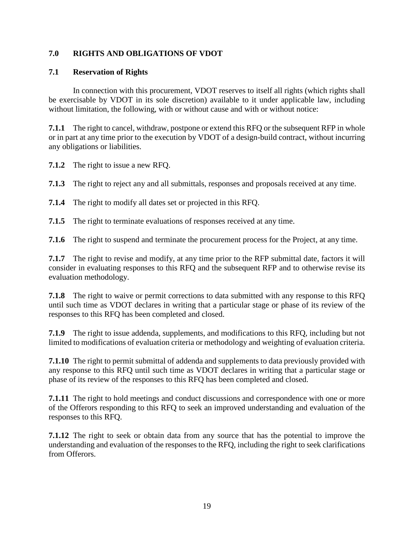# <span id="page-18-0"></span>**7.0 RIGHTS AND OBLIGATIONS OF VDOT**

#### <span id="page-18-1"></span>**7.1 Reservation of Rights**

In connection with this procurement, VDOT reserves to itself all rights (which rights shall be exercisable by VDOT in its sole discretion) available to it under applicable law, including without limitation, the following, with or without cause and with or without notice:

**7.1.1** The right to cancel, withdraw, postpone or extend this RFQ or the subsequent RFP in whole or in part at any time prior to the execution by VDOT of a design-build contract, without incurring any obligations or liabilities.

**7.1.2** The right to issue a new RFQ.

**7.1.3** The right to reject any and all submittals, responses and proposals received at any time.

**7.1.4** The right to modify all dates set or projected in this RFQ.

**7.1.5** The right to terminate evaluations of responses received at any time.

**7.1.6** The right to suspend and terminate the procurement process for the Project, at any time.

**7.1.7** The right to revise and modify, at any time prior to the RFP submittal date, factors it will consider in evaluating responses to this RFQ and the subsequent RFP and to otherwise revise its evaluation methodology.

**7.1.8** The right to waive or permit corrections to data submitted with any response to this RFQ until such time as VDOT declares in writing that a particular stage or phase of its review of the responses to this RFQ has been completed and closed.

**7.1.9** The right to issue addenda, supplements, and modifications to this RFQ, including but not limited to modifications of evaluation criteria or methodology and weighting of evaluation criteria.

**7.1.10** The right to permit submittal of addenda and supplements to data previously provided with any response to this RFQ until such time as VDOT declares in writing that a particular stage or phase of its review of the responses to this RFQ has been completed and closed.

**7.1.11** The right to hold meetings and conduct discussions and correspondence with one or more of the Offerors responding to this RFQ to seek an improved understanding and evaluation of the responses to this RFQ.

**7.1.12** The right to seek or obtain data from any source that has the potential to improve the understanding and evaluation of the responses to the RFQ, including the right to seek clarifications from Offerors.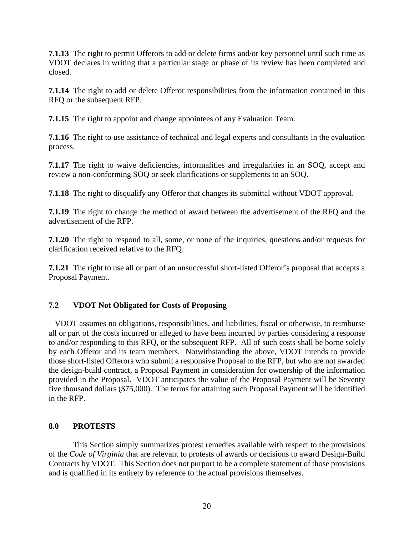**7.1.13** The right to permit Offerors to add or delete firms and/or key personnel until such time as VDOT declares in writing that a particular stage or phase of its review has been completed and closed.

**7.1.14** The right to add or delete Offeror responsibilities from the information contained in this RFQ or the subsequent RFP.

**7.1.15** The right to appoint and change appointees of any Evaluation Team.

**7.1.16** The right to use assistance of technical and legal experts and consultants in the evaluation process.

**7.1.17** The right to waive deficiencies, informalities and irregularities in an SOQ, accept and review a non-conforming SOQ or seek clarifications or supplements to an SOQ.

**7.1.18** The right to disqualify any Offeror that changes its submittal without VDOT approval.

**7.1.19** The right to change the method of award between the advertisement of the RFQ and the advertisement of the RFP.

**7.1.20** The right to respond to all, some, or none of the inquiries, questions and/or requests for clarification received relative to the RFQ.

**7.1.21** The right to use all or part of an unsuccessful short-listed Offeror's proposal that accepts a Proposal Payment.

# <span id="page-19-0"></span>**7.2 VDOT Not Obligated for Costs of Proposing**

 VDOT assumes no obligations, responsibilities, and liabilities, fiscal or otherwise, to reimburse all or part of the costs incurred or alleged to have been incurred by parties considering a response to and/or responding to this RFQ, or the subsequent RFP. All of such costs shall be borne solely by each Offeror and its team members. Notwithstanding the above, VDOT intends to provide those short-listed Offerors who submit a responsive Proposal to the RFP, but who are not awarded the design-build contract, a Proposal Payment in consideration for ownership of the information provided in the Proposal. VDOT anticipates the value of the Proposal Payment will be Seventy five thousand dollars (\$75,000). The terms for attaining such Proposal Payment will be identified in the RFP.

#### <span id="page-19-1"></span>**8.0 PROTESTS**

This Section simply summarizes protest remedies available with respect to the provisions of the *Code of Virginia* that are relevant to protests of awards or decisions to award Design-Build Contracts by VDOT. This Section does not purport to be a complete statement of those provisions and is qualified in its entirety by reference to the actual provisions themselves.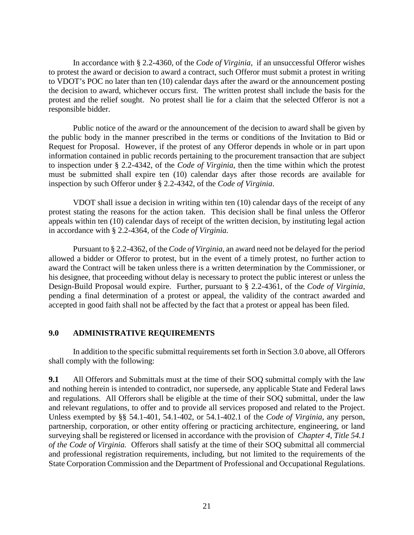In accordance with § 2.2-4360, of the *Code of Virginia*, if an unsuccessful Offeror wishes to protest the award or decision to award a contract, such Offeror must submit a protest in writing to VDOT's POC no later than ten (10) calendar days after the award or the announcement posting the decision to award, whichever occurs first. The written protest shall include the basis for the protest and the relief sought. No protest shall lie for a claim that the selected Offeror is not a responsible bidder.

Public notice of the award or the announcement of the decision to award shall be given by the public body in the manner prescribed in the terms or conditions of the Invitation to Bid or Request for Proposal. However, if the protest of any Offeror depends in whole or in part upon information contained in public records pertaining to the procurement transaction that are subject to inspection under § 2.2-4342, of the *Code of Virginia*, then the time within which the protest must be submitted shall expire ten (10) calendar days after those records are available for inspection by such Offeror under § 2.2-4342, of the *Code of Virginia*.

VDOT shall issue a decision in writing within ten (10) calendar days of the receipt of any protest stating the reasons for the action taken. This decision shall be final unless the Offeror appeals within ten (10) calendar days of receipt of the written decision, by instituting legal action in accordance with § 2.2-4364*,* of the *Code of Virginia.* 

Pursuant to § 2.2-4362, of the *Code of Virginia*, an award need not be delayed for the period allowed a bidder or Offeror to protest, but in the event of a timely protest, no further action to award the Contract will be taken unless there is a written determination by the Commissioner, or his designee, that proceeding without delay is necessary to protect the public interest or unless the Design-Build Proposal would expire. Further, pursuant to § 2.2-4361, of the *Code of Virginia*, pending a final determination of a protest or appeal, the validity of the contract awarded and accepted in good faith shall not be affected by the fact that a protest or appeal has been filed.

#### <span id="page-20-0"></span>**9.0 ADMINISTRATIVE REQUIREMENTS**

In addition to the specific submittal requirements set forth in Section 3.0 above, all Offerors shall comply with the following:

**9.1** All Offerors and Submittals must at the time of their SOQ submittal comply with the law and nothing herein is intended to contradict, nor supersede, any applicable State and Federal laws and regulations. All Offerors shall be eligible at the time of their SOQ submittal, under the law and relevant regulations, to offer and to provide all services proposed and related to the Project. Unless exempted by §§ 54.1-401, 54.1-402, or 54.1-402.1 of the *Code of Virginia*, any person, partnership, corporation, or other entity offering or practicing architecture, engineering, or land surveying shall be registered or licensed in accordance with the provision of *Chapter 4, Title 54.1 of the Code of Virginia.* Offerors shall satisfy at the time of their SOQ submittal all commercial and professional registration requirements, including, but not limited to the requirements of the State Corporation Commission and the Department of Professional and Occupational Regulations.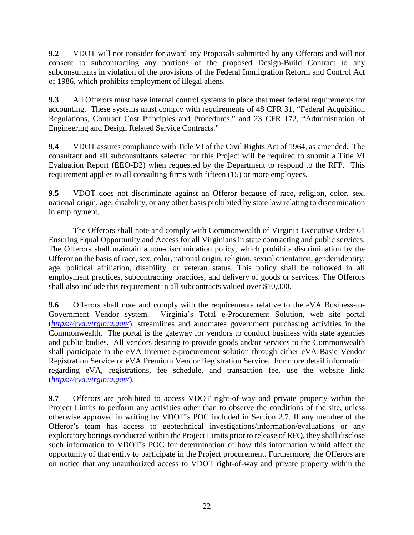**9.2** VDOT will not consider for award any Proposals submitted by any Offerors and will not consent to subcontracting any portions of the proposed Design-Build Contract to any subconsultants in violation of the provisions of the Federal Immigration Reform and Control Act of 1986, which prohibits employment of illegal aliens.

**9.3** All Offerors must have internal control systems in place that meet federal requirements for accounting. These systems must comply with requirements of 48 CFR 31, "Federal Acquisition Regulations, Contract Cost Principles and Procedures," and 23 CFR 172, "Administration of Engineering and Design Related Service Contracts."

**9.4** VDOT assures compliance with Title VI of the Civil Rights Act of 1964, as amended. The consultant and all subconsultants selected for this Project will be required to submit a Title VI Evaluation Report (EEO-D2) when requested by the Department to respond to the RFP. This requirement applies to all consulting firms with fifteen (15) or more employees.

**9.5** VDOT does not discriminate against an Offeror because of race, religion, color, sex, national origin, age, disability, or any other basis prohibited by state law relating to discrimination in employment.

The Offerors shall note and comply with Commonwealth of Virginia Executive Order 61 Ensuring Equal Opportunity and Access for all Virginians in state contracting and public services. The Offerors shall maintain a non-discrimination policy, which prohibits discrimination by the Offeror on the basis of race, sex, color, national origin, religion, sexual orientation, gender identity, age, political affiliation, disability, or veteran status. This policy shall be followed in all employment practices, subcontracting practices, and delivery of goods or services. The Offerors shall also include this requirement in all subcontracts valued over \$10,000.

**9.6** Offerors shall note and comply with the requirements relative to the eVA Business-to-Government Vendor system. Virginia's Total e-Procurement Solution, web site portal (*<https://eva.virginia.gov/>*), streamlines and automates government purchasing activities in the Commonwealth. The portal is the gateway for vendors to conduct business with state agencies and public bodies. All vendors desiring to provide goods and/or services to the Commonwealth shall participate in the eVA Internet e-procurement solution through either eVA Basic Vendor Registration Service or eVA Premium Vendor Registration Service. For more detail information regarding eVA, registrations, fee schedule, and transaction fee, use the website link: (*<https://eva.virginia.gov/>*).

**9.7** Offerors are prohibited to access VDOT right-of-way and private property within the Project Limits to perform any activities other than to observe the conditions of the site, unless otherwise approved in writing by VDOT's POC included in Section 2.7. If any member of the Offeror's team has access to geotechnical investigations/information/evaluations or any exploratory borings conducted within the Project Limits prior to release of RFQ, they shall disclose such information to VDOT's POC for determination of how this information would affect the opportunity of that entity to participate in the Project procurement. Furthermore, the Offerors are on notice that any unauthorized access to VDOT right-of-way and private property within the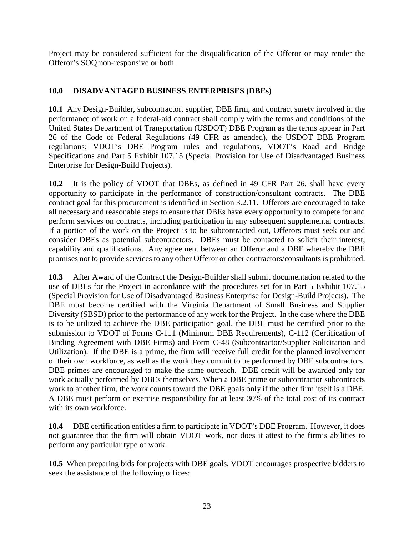Project may be considered sufficient for the disqualification of the Offeror or may render the Offeror's SOQ non-responsive or both.

# <span id="page-22-0"></span>**10.0 DISADVANTAGED BUSINESS ENTERPRISES (DBEs)**

**10.1** Any Design-Builder, subcontractor, supplier, DBE firm, and contract surety involved in the performance of work on a federal-aid contract shall comply with the terms and conditions of the United States Department of Transportation (USDOT) DBE Program as the terms appear in Part 26 of the Code of Federal Regulations (49 CFR as amended), the USDOT DBE Program regulations; VDOT's DBE Program rules and regulations, VDOT's Road and Bridge Specifications and Part 5 Exhibit 107.15 (Special Provision for Use of Disadvantaged Business Enterprise for Design-Build Projects).

**10.2** It is the policy of VDOT that DBEs, as defined in 49 CFR Part 26, shall have every opportunity to participate in the performance of construction/consultant contracts. The DBE contract goal for this procurement is identified in Section 3.2.11. Offerors are encouraged to take all necessary and reasonable steps to ensure that DBEs have every opportunity to compete for and perform services on contracts, including participation in any subsequent supplemental contracts. If a portion of the work on the Project is to be subcontracted out, Offerors must seek out and consider DBEs as potential subcontractors. DBEs must be contacted to solicit their interest, capability and qualifications. Any agreement between an Offeror and a DBE whereby the DBE promises not to provide services to any other Offeror or other contractors/consultants is prohibited.

**10.3** After Award of the Contract the Design-Builder shall submit documentation related to the use of DBEs for the Project in accordance with the procedures set for in Part 5 Exhibit 107.15 (Special Provision for Use of Disadvantaged Business Enterprise for Design-Build Projects). The DBE must become certified with the Virginia Department of Small Business and Supplier Diversity (SBSD) prior to the performance of any work for the Project. In the case where the DBE is to be utilized to achieve the DBE participation goal, the DBE must be certified prior to the submission to VDOT of Forms C-111 (Minimum DBE Requirements), C-112 (Certification of Binding Agreement with DBE Firms) and Form C-48 (Subcontractor/Supplier Solicitation and Utilization). If the DBE is a prime, the firm will receive full credit for the planned involvement of their own workforce, as well as the work they commit to be performed by DBE subcontractors. DBE primes are encouraged to make the same outreach. DBE credit will be awarded only for work actually performed by DBEs themselves. When a DBE prime or subcontractor subcontracts work to another firm, the work counts toward the DBE goals only if the other firm itself is a DBE. A DBE must perform or exercise responsibility for at least 30% of the total cost of its contract with its own workforce.

**10.4** DBE certification entitles a firm to participate in VDOT's DBE Program. However, it does not guarantee that the firm will obtain VDOT work, nor does it attest to the firm's abilities to perform any particular type of work.

**10.5** When preparing bids for projects with DBE goals, VDOT encourages prospective bidders to seek the assistance of the following offices: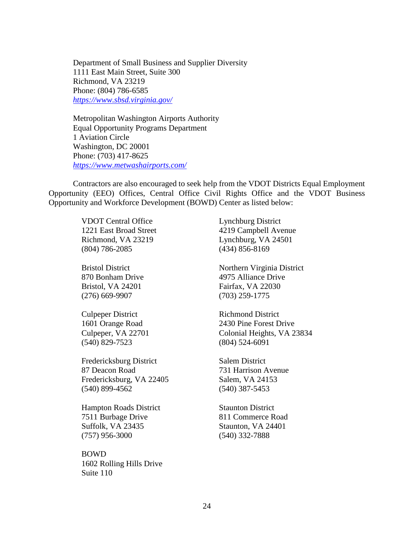Department of Small Business and Supplier Diversity 1111 East Main Street, Suite 300 Richmond, VA 23219 Phone: (804) 786-6585 *<https://www.sbsd.virginia.gov/>*

Metropolitan Washington Airports Authority Equal Opportunity Programs Department 1 Aviation Circle Washington, DC 20001 Phone: (703) 417-8625 *<https://www.metwashairports.com/>*

Contractors are also encouraged to seek help from the VDOT Districts Equal Employment Opportunity (EEO) Offices, Central Office Civil Rights Office and the VDOT Business Opportunity and Workforce Development (BOWD) Center as listed below:

> VDOT Central Office Lynchburg District Richmond, VA 23219 Lynchburg, VA 24501 (804) 786-2085 (434) 856-8169

Bristol, VA 24201 Fairfax, VA 22030 (276) 669-9907 (703) 259-1775

Culpeper District Richmond District (540) 829-7523 (804) 524-6091

Fredericksburg District Salem District 87 Deacon Road 731 Harrison Avenue Fredericksburg, VA 22405 Salem, VA 24153 (540) 899-4562 (540) 387-5453

**Hampton Roads District Staunton District** 7511 Burbage Drive 811 Commerce Road Suffolk, VA 23435 Staunton, VA 24401 (757) 956-3000 (540) 332-7888

BOWD 1602 Rolling Hills Drive Suite 110

1221 East Broad Street 4219 Campbell Avenue

Bristol District Northern Virginia District 870 Bonham Drive 4975 Alliance Drive

1601 Orange Road 2430 Pine Forest Drive Culpeper, VA 22701 Colonial Heights, VA 23834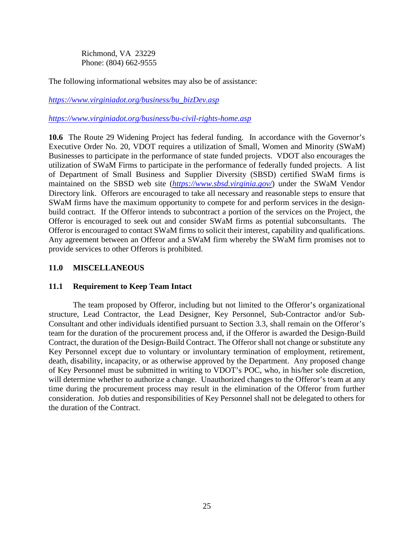Richmond, VA 23229 Phone: (804) 662-9555

The following informational websites may also be of assistance:

*[https://www.virginiadot.org/business/bu\\_bizDev.asp](https://www.virginiadot.org/business/bu_bizDev.asp)*

*<https://www.virginiadot.org/business/bu-civil-rights-home.asp>*

**10.6** The Route 29 Widening Project has federal funding. In accordance with the Governor's Executive Order No. 20, VDOT requires a utilization of Small, Women and Minority (SWaM) Businesses to participate in the performance of state funded projects. VDOT also encourages the utilization of SWaM Firms to participate in the performance of federally funded projects. A list of Department of Small Business and Supplier Diversity (SBSD) certified SWaM firms is maintained on the SBSD web site (*<https://www.sbsd.virginia.gov/>*) under the SWaM Vendor Directory link. Offerors are encouraged to take all necessary and reasonable steps to ensure that SWaM firms have the maximum opportunity to compete for and perform services in the designbuild contract. If the Offeror intends to subcontract a portion of the services on the Project, the Offeror is encouraged to seek out and consider SWaM firms as potential subconsultants. The Offeror is encouraged to contact SWaM firms to solicit their interest, capability and qualifications. Any agreement between an Offeror and a SWaM firm whereby the SWaM firm promises not to provide services to other Offerors is prohibited.

#### <span id="page-24-0"></span>**11.0 MISCELLANEOUS**

#### <span id="page-24-1"></span>**11.1 Requirement to Keep Team Intact**

The team proposed by Offeror, including but not limited to the Offeror's organizational structure, Lead Contractor, the Lead Designer, Key Personnel, Sub-Contractor and/or Sub-Consultant and other individuals identified pursuant to Section 3.3, shall remain on the Offeror's team for the duration of the procurement process and, if the Offeror is awarded the Design-Build Contract, the duration of the Design-Build Contract. The Offeror shall not change or substitute any Key Personnel except due to voluntary or involuntary termination of employment, retirement, death, disability, incapacity, or as otherwise approved by the Department. Any proposed change of Key Personnel must be submitted in writing to VDOT's POC, who, in his/her sole discretion, will determine whether to authorize a change. Unauthorized changes to the Offeror's team at any time during the procurement process may result in the elimination of the Offeror from further consideration. Job duties and responsibilities of Key Personnel shall not be delegated to others for the duration of the Contract.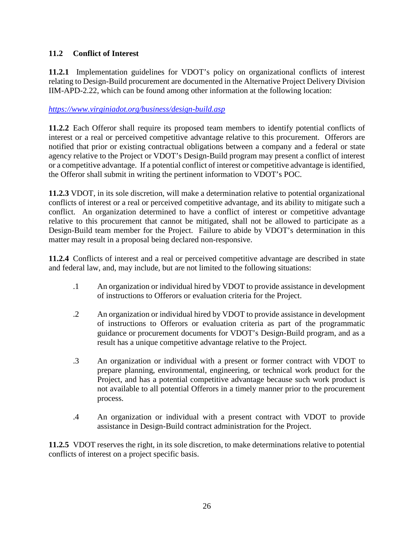# <span id="page-25-0"></span>**11.2 Conflict of Interest**

**11.2.1** Implementation guidelines for VDOT's policy on organizational conflicts of interest relating to Design-Build procurement are documented in the Alternative Project Delivery Division IIM-APD-2.22, which can be found among other information at the following location:

# *<https://www.virginiadot.org/business/design-build.asp>*

**11.2.2** Each Offeror shall require its proposed team members to identify potential conflicts of interest or a real or perceived competitive advantage relative to this procurement. Offerors are notified that prior or existing contractual obligations between a company and a federal or state agency relative to the Project or VDOT's Design-Build program may present a conflict of interest or a competitive advantage. If a potential conflict of interest or competitive advantage is identified, the Offeror shall submit in writing the pertinent information to VDOT's POC.

**11.2.3** VDOT, in its sole discretion, will make a determination relative to potential organizational conflicts of interest or a real or perceived competitive advantage, and its ability to mitigate such a conflict. An organization determined to have a conflict of interest or competitive advantage relative to this procurement that cannot be mitigated, shall not be allowed to participate as a Design-Build team member for the Project. Failure to abide by VDOT's determination in this matter may result in a proposal being declared non-responsive.

**11.2.4** Conflicts of interest and a real or perceived competitive advantage are described in state and federal law, and, may include, but are not limited to the following situations:

- .1 An organization or individual hired by VDOT to provide assistance in development of instructions to Offerors or evaluation criteria for the Project.
- .2 An organization or individual hired by VDOT to provide assistance in development of instructions to Offerors or evaluation criteria as part of the programmatic guidance or procurement documents for VDOT's Design-Build program, and as a result has a unique competitive advantage relative to the Project.
- .3 An organization or individual with a present or former contract with VDOT to prepare planning, environmental, engineering, or technical work product for the Project, and has a potential competitive advantage because such work product is not available to all potential Offerors in a timely manner prior to the procurement process.
- .4 An organization or individual with a present contract with VDOT to provide assistance in Design-Build contract administration for the Project.

**11.2.5** VDOT reserves the right, in its sole discretion, to make determinations relative to potential conflicts of interest on a project specific basis.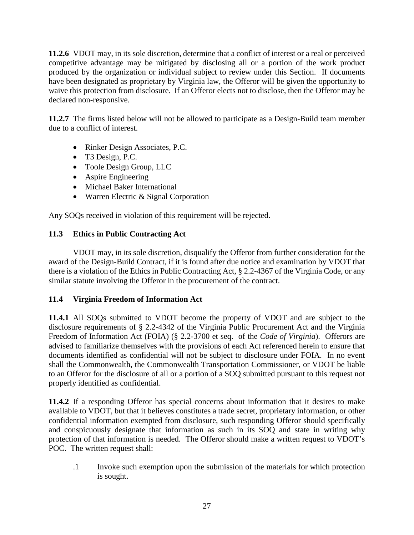**11.2.6** VDOT may, in its sole discretion, determine that a conflict of interest or a real or perceived competitive advantage may be mitigated by disclosing all or a portion of the work product produced by the organization or individual subject to review under this Section. If documents have been designated as proprietary by Virginia law, the Offeror will be given the opportunity to waive this protection from disclosure. If an Offeror elects not to disclose, then the Offeror may be declared non-responsive.

**11.2.7** The firms listed below will not be allowed to participate as a Design-Build team member due to a conflict of interest.

- Rinker Design Associates, P.C.
- T3 Design, P.C.
- Toole Design Group, LLC
- Aspire Engineering
- Michael Baker International
- Warren Electric & Signal Corporation

Any SOQs received in violation of this requirement will be rejected.

# <span id="page-26-0"></span>**11.3 Ethics in Public Contracting Act**

VDOT may, in its sole discretion, disqualify the Offeror from further consideration for the award of the Design-Build Contract, if it is found after due notice and examination by VDOT that there is a violation of the Ethics in Public Contracting Act, § 2.2-4367 of the Virginia Code, or any similar statute involving the Offeror in the procurement of the contract.

# <span id="page-26-1"></span>**11.4 Virginia Freedom of Information Act**

**11.4.1** All SOQs submitted to VDOT become the property of VDOT and are subject to the disclosure requirements of § 2.2-4342 of the Virginia Public Procurement Act and the Virginia Freedom of Information Act (FOIA) (§ 2.2-3700 et seq. of the *Code of Virginia*). Offerors are advised to familiarize themselves with the provisions of each Act referenced herein to ensure that documents identified as confidential will not be subject to disclosure under FOIA. In no event shall the Commonwealth, the Commonwealth Transportation Commissioner, or VDOT be liable to an Offeror for the disclosure of all or a portion of a SOQ submitted pursuant to this request not properly identified as confidential.

**11.4.2** If a responding Offeror has special concerns about information that it desires to make available to VDOT, but that it believes constitutes a trade secret, proprietary information, or other confidential information exempted from disclosure, such responding Offeror should specifically and conspicuously designate that information as such in its SOQ and state in writing why protection of that information is needed. The Offeror should make a written request to VDOT's POC. The written request shall:

.1 Invoke such exemption upon the submission of the materials for which protection is sought.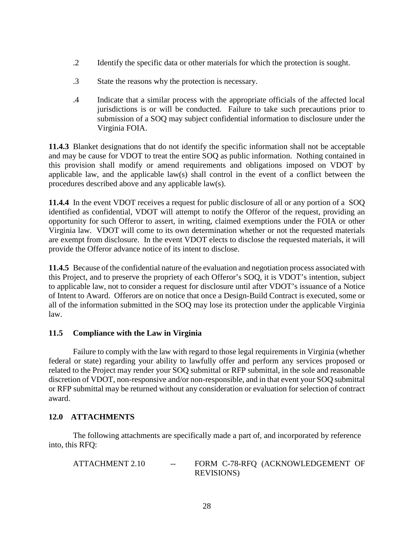- .2 Identify the specific data or other materials for which the protection is sought.
- .3 State the reasons why the protection is necessary.
- .4 Indicate that a similar process with the appropriate officials of the affected local jurisdictions is or will be conducted. Failure to take such precautions prior to submission of a SOQ may subject confidential information to disclosure under the Virginia FOIA.

**11.4.3** Blanket designations that do not identify the specific information shall not be acceptable and may be cause for VDOT to treat the entire SOQ as public information. Nothing contained in this provision shall modify or amend requirements and obligations imposed on VDOT by applicable law, and the applicable law(s) shall control in the event of a conflict between the procedures described above and any applicable law(s).

**11.4.4** In the event VDOT receives a request for public disclosure of all or any portion of a SOQ identified as confidential, VDOT will attempt to notify the Offeror of the request, providing an opportunity for such Offeror to assert, in writing, claimed exemptions under the FOIA or other Virginia law. VDOT will come to its own determination whether or not the requested materials are exempt from disclosure. In the event VDOT elects to disclose the requested materials, it will provide the Offeror advance notice of its intent to disclose.

**11.4.5** Because of the confidential nature of the evaluation and negotiation process associated with this Project, and to preserve the propriety of each Offeror's SOQ, it is VDOT's intention, subject to applicable law, not to consider a request for disclosure until after VDOT's issuance of a Notice of Intent to Award. Offerors are on notice that once a Design-Build Contract is executed, some or all of the information submitted in the SOQ may lose its protection under the applicable Virginia law.

# <span id="page-27-0"></span>**11.5 Compliance with the Law in Virginia**

Failure to comply with the law with regard to those legal requirements in Virginia (whether federal or state) regarding your ability to lawfully offer and perform any services proposed or related to the Project may render your SOQ submittal or RFP submittal, in the sole and reasonable discretion of VDOT, non-responsive and/or non-responsible, and in that event your SOQ submittal or RFP submittal may be returned without any consideration or evaluation for selection of contract award.

# <span id="page-27-1"></span>**12.0 ATTACHMENTS**

The following attachments are specifically made a part of, and incorporated by reference into, this RFQ:

| ATTACHMENT 2.10 | $--$ | FORM C-78-RFQ (ACKNOWLEDGEMENT OF |
|-----------------|------|-----------------------------------|
|                 |      | <b>REVISIONS</b> )                |